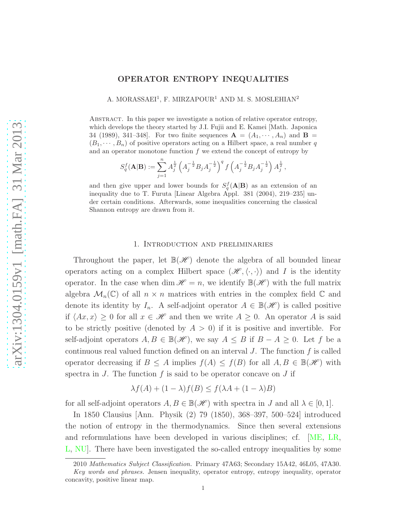## OPERATOR ENTROPY INEQUALITIES

A. MORASSAEI<sup>1</sup>, F. MIRZAPOUR<sup>1</sup> AND M. S. MOSLEHIAN<sup>2</sup>

Abstract. In this paper we investigate a notion of relative operator entropy, which develops the theory started by J.I. Fujii and E. Kamei [Math. Japonica 34 (1989), 341–348. For two finite sequences  $A = (A_1, \dots, A_n)$  and  $B =$  $(B_1, \dots, B_n)$  of positive operators acting on a Hilbert space, a real number q and an operator monotone function  $f$  we extend the concept of entropy by

$$
S_q^f(\mathbf{A}|\mathbf{B}) := \sum_{j=1}^n A_j^{\frac{1}{2}} \left( A_j^{-\frac{1}{2}} B_j A_j^{-\frac{1}{2}} \right)^q f\left( A_j^{-\frac{1}{2}} B_j A_j^{-\frac{1}{2}} \right) A_j^{\frac{1}{2}},
$$

and then give upper and lower bounds for  $S_q^f(A|B)$  as an extension of an inequality due to T. Furuta [Linear Algebra Appl. 381 (2004), 219–235] under certain conditions. Afterwards, some inequalities concerning the classical Shannon entropy are drawn from it.

## 1. Introduction and preliminaries

Throughout the paper, let  $\mathbb{B}(\mathscr{H})$  denote the algebra of all bounded linear operators acting on a complex Hilbert space  $(\mathscr{H}, \langle \cdot, \cdot \rangle)$  and I is the identity operator. In the case when dim  $\mathcal{H} = n$ , we identify  $\mathbb{B}(\mathcal{H})$  with the full matrix algebra  $\mathcal{M}_n(\mathbb{C})$  of all  $n \times n$  matrices with entries in the complex field  $\mathbb C$  and denote its identity by  $I_n$ . A self-adjoint operator  $A \in \mathbb{B}(\mathscr{H})$  is called positive if  $\langle Ax, x \rangle \geq 0$  for all  $x \in \mathcal{H}$  and then we write  $A \geq 0$ . An operator A is said to be strictly positive (denoted by  $A > 0$ ) if it is positive and invertible. For self-adjoint operators  $A, B \in \mathbb{B}(\mathcal{H})$ , we say  $A \leq B$  if  $B - A \geq 0$ . Let f be a continuous real valued function defined on an interval  $J$ . The function  $f$  is called operator decreasing if  $B \leq A$  implies  $f(A) \leq f(B)$  for all  $A, B \in \mathbb{B}(\mathscr{H})$  with spectra in  $J$ . The function  $f$  is said to be operator concave on  $J$  if

$$
\lambda f(A) + (1 - \lambda)f(B) \le f(\lambda A + (1 - \lambda)B)
$$

for all self-adjoint operators  $A, B \in \mathbb{B}(\mathcal{H})$  with spectra in J and all  $\lambda \in [0, 1]$ .

In 1850 Clausius [Ann. Physik (2) 79 (1850), 368–397, 500–524] introduced the notion of entropy in the thermodynamics. Since then several extensions and reformulations have been developed in various disciplines; cf. [\[ME,](#page-10-0) [LR,](#page-10-1) [L,](#page-10-2) [NU\]](#page-10-3). There have been investigated the so-called entropy inequalities by some

<sup>2010</sup> Mathematics Subject Classification. Primary 47A63; Secondary 15A42, 46L05, 47A30.

Key words and phrases. Jensen inequality, operator entropy, entropy inequality, operator concavity, positive linear map.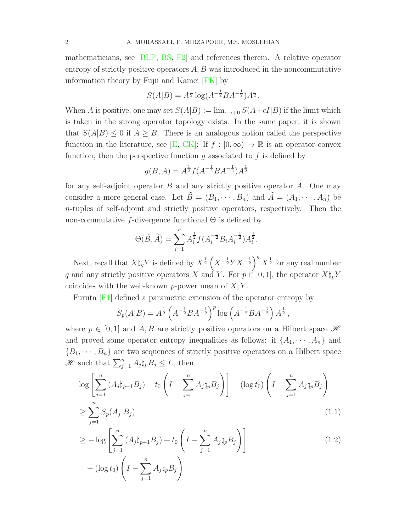mathematicians, see [\[BLP,](#page-9-0) [BS,](#page-9-1) [F2\]](#page-10-4) and references therein. A relative operator entropy of strictly positive operators  $A, B$  was introduced in the noncommutative information theory by Fujii and Kamei [\[FK\]](#page-9-2) by

$$
S(A|B) = A^{\frac{1}{2}} \log(A^{-\frac{1}{2}} B A^{-\frac{1}{2}}) A^{\frac{1}{2}}.
$$

When A is positive, one may set  $S(A|B) := \lim_{\epsilon \to 0} S(A+\epsilon I|B)$  if the limit which is taken in the strong operator topology exists. In the same paper, it is shown that  $S(A|B) \leq 0$  if  $A \geq B$ . There is an analogous notion called the perspective function in the literature, see [\[E,](#page-9-3) [CK\]](#page-9-4): If  $f : [0, \infty) \to \mathbb{R}$  is an operator convex function, then the perspective function  $g$  associated to  $f$  is defined by

$$
g(B, A) = A^{\frac{1}{2}} f(A^{-\frac{1}{2}} B A^{-\frac{1}{2}}) A^{\frac{1}{2}}
$$

for any self-adjoint operator  $B$  and any strictly positive operator  $A$ . One may consider a more general case. Let  $\widetilde{B} = (B_1, \cdots, B_n)$  and  $\widetilde{A} = (A_1, \cdots, A_n)$  be n-tuples of self-adjoint and strictly positive operators, respectively. Then the non-commutative f-divergence functional  $\Theta$  is defined by

$$
\Theta(\widetilde{B}, \widetilde{A}) = \sum_{i=1}^{n} A_i^{\frac{1}{2}} f(A_i^{-\frac{1}{2}} B_i A_i^{-\frac{1}{2}}) A_i^{\frac{1}{2}}.
$$

Next, recall that  $X\natural_q Y$  is defined by  $X^{\frac{1}{2}}\left(X^{-\frac{1}{2}}YX^{-\frac{1}{2}}\right)^q X^{\frac{1}{2}}$  for any real number q and any strictly positive operators X and Y. For  $p \in [0, 1]$ , the operator  $X \natural_p Y$ coincides with the well-known p-power mean of  $X, Y$ .

Furuta [\[F1\]](#page-9-5) defined a parametric extension of the operator entropy by

<span id="page-1-0"></span>
$$
S_p(A|B) = A^{\frac{1}{2}} \left( A^{-\frac{1}{2}} B A^{-\frac{1}{2}} \right)^p \log \left( A^{-\frac{1}{2}} B A^{-\frac{1}{2}} \right) A^{\frac{1}{2}},
$$

where  $p \in [0,1]$  and A, B are strictly positive operators on a Hilbert space  $\mathscr H$ and proved some operator entropy inequalities as follows: if  $\{A_1, \dots, A_n\}$  and  ${B_1, \dots, B_n}$  are two sequences of strictly positive operators on a Hilbert space  $\mathscr{H}$  such that  $\sum_{j=1}^n A_j \natural_p B_j \leq I$ , then

$$
\log \left[ \sum_{j=1}^{n} \left( A_j \natural_{p+1} B_j \right) + t_0 \left( I - \sum_{j=1}^{n} A_j \natural_p B_j \right) \right] - (\log t_0) \left( I - \sum_{j=1}^{n} A_j \natural_p B_j \right)
$$
  
> 
$$
\sum_{j=1}^{n} S_n(A_j | B_j)
$$
 (1.1)

$$
\geq \sum_{j=1} S_p(A_j|B_j) \tag{1.1}
$$

$$
\geq -\log\left[\sum_{j=1}^{n}\left(A_j \natural_{p-1} B_j\right) + t_0 \left(I - \sum_{j=1}^{n} A_j \natural_p B_j\right)\right]
$$
\n
$$
+\left(\log t_0\right) \left(I - \sum_{j=1}^{n} A_j \natural_p B_j\right) \tag{1.2}
$$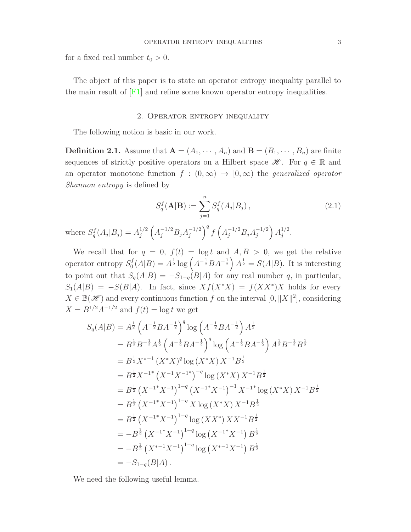for a fixed real number  $t_0 > 0$ .

The object of this paper is to state an operator entropy inequality parallel to the main result of  $[F1]$  and refine some known operator entropy inequalities.

## 2. Operator entropy inequality

The following notion is basic in our work.

<span id="page-2-0"></span>**Definition 2.1.** Assume that  $A = (A_1, \dots, A_n)$  and  $B = (B_1, \dots, B_n)$  are finite sequences of strictly positive operators on a Hilbert space  $\mathscr{H}$ . For  $q \in \mathbb{R}$  and an operator monotone function  $f : (0, \infty) \to [0, \infty)$  the *generalized operator Shannon entropy* is defined by

$$
S_q^f(\mathbf{A}|\mathbf{B}) := \sum_{j=1}^n S_q^f(A_j|B_j), \qquad (2.1)
$$

where  $S_q^f(A_j|B_j) = A_j^{1/2}$ j  $\left(A_j^{-1/2}B_jA_j^{-1/2}\right)$ j  $\int^q f\left(A_j^{-1/2}B_jA_j^{-1/2}\right)$ j  $\Big\} A_i^{1/2}$  $j^{1/2}$ .

We recall that for  $q = 0$ ,  $f(t) = \log t$  and  $A, B > 0$ , we get the relative operator entropy  $S_0^f$  $\mathcal{L}_0^f(A|B) = A^{\frac{1}{2}} \log \left( A^{-\frac{1}{2}} B A^{-\frac{1}{2}} \right) A^{\frac{1}{2}} = S(A|B)$ . It is interesting to point out that  $S_q(A|B) = -S_{1-q}(B|A)$  for any real number q, in particular,  $S_1(A|B) = -S(B|A)$ . In fact, since  $Xf(X^*X) = f(XX^*)X$  holds for every  $X \in \mathbb{B}(\mathscr{H})$  and every continuous function f on the interval  $[0, ||X||^2]$ , considering  $X = B^{1/2} A^{-1/2}$  and  $f(t) = \log t$  we get

$$
S_q(A|B) = A^{\frac{1}{2}} \left(A^{-\frac{1}{2}}BA^{-\frac{1}{2}}\right)^q \log \left(A^{-\frac{1}{2}}BA^{-\frac{1}{2}}\right) A^{\frac{1}{2}}
$$
  
\n
$$
= B^{\frac{1}{2}}B^{-\frac{1}{2}}A^{\frac{1}{2}} \left(A^{-\frac{1}{2}}BA^{-\frac{1}{2}}\right)^q \log \left(A^{-\frac{1}{2}}BA^{-\frac{1}{2}}\right) A^{\frac{1}{2}}B^{-\frac{1}{2}}B^{\frac{1}{2}}
$$
  
\n
$$
= B^{\frac{1}{2}}X^{*-1} (X^*X)^q \log (X^*X) X^{-1}B^{\frac{1}{2}}
$$
  
\n
$$
= B^{\frac{1}{2}}X^{-1^*} (X^{-1}X^{-1^*})^{-q} \log (X^*X) X^{-1}B^{\frac{1}{2}}
$$
  
\n
$$
= B^{\frac{1}{2}} (X^{-1^*}X^{-1})^{1-q} (X^{-1^*}X^{-1})^{-1} X^{-1^*} \log (X^*X) X^{-1}B^{\frac{1}{2}}
$$
  
\n
$$
= B^{\frac{1}{2}} (X^{-1^*}X^{-1})^{1-q} \log (XX^*) X X^{-1}B^{\frac{1}{2}}
$$
  
\n
$$
= B^{\frac{1}{2}} (X^{-1^*}X^{-1})^{1-q} \log (XX^*) X X^{-1}B^{\frac{1}{2}}
$$
  
\n
$$
= -B^{\frac{1}{2}} (X^{-1^*}X^{-1})^{1-q} \log (X^{-1^*}X^{-1}) B^{\frac{1}{2}}
$$
  
\n
$$
= -B^{\frac{1}{2}} (X^{*-1}X^{-1})^{1-q} \log (X^{*-1}X^{-1}) B^{\frac{1}{2}}
$$
  
\n
$$
= -S_{1-q}(B|A).
$$

We need the following useful lemma.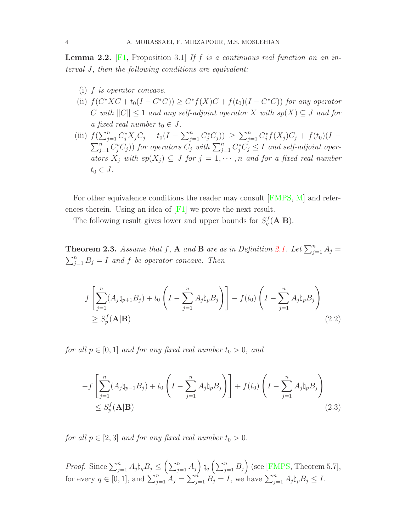<span id="page-3-0"></span>Lemma 2.2. [\[F1,](#page-9-5) Proposition 3.1] *If* f *is a continuous real function on an interval* J*, then the following conditions are equivalent:*

- (i) f *is operator concave.*
- (ii)  $f(C^*XC + t_0(I C^*C)) \geq C^*f(X)C + f(t_0)(I C^*C)$  *for any operator* C with  $||C|| \leq 1$  and any self-adjoint operator X with  $sp(X) \subseteq J$  and for *a* fixed real number  $t_0 \in J$ .
- (iii)  $f(\sum_{j=1}^n C_j^* X_j C_j + t_0(I \sum_{j=1}^n C_j^* C_j)) \ge \sum_{j=1}^n C_j^* f(X_j) C_j + f(t_0)(I \sum_{j=1}^{n} C_{j}^{*} C_{j}$ ) for operators  $C_{j}$  with  $\sum_{j=1}^{n} C_{j}^{*} C_{j} \leq I$  and self-adjoint oper*ators*  $X_j$  *with*  $sp(X_j) \subseteq J$  *for*  $j = 1, \dots, n$  *and for a fixed real number*  $t_0 \in J$ .

For other equivalence conditions the reader may consult [\[FMPS,](#page-10-5) [M\]](#page-10-6) and references therein. Using an idea of  $[**F1**]$  we prove the next result.

The following result gives lower and upper bounds for  $S_q^f(\mathbf{A}|\mathbf{B})$ .

<span id="page-3-1"></span>**Theorem 2.3.** Assume that f, A and B are as in Definition [2.1.](#page-2-0) Let  $\sum_{j=1}^{n} A_j =$  $\sum_{j=1}^{n} B_j = I$  and f be operator concave. Then

$$
f\left[\sum_{j=1}^{n}(A_{j}\natural_{p+1}B_{j})+t_{0}\left(I-\sum_{j=1}^{n}A_{j}\natural_{p}B_{j}\right)\right]-f(t_{0})\left(I-\sum_{j=1}^{n}A_{j}\natural_{p}B_{j}\right)
$$
  
\n
$$
\geq S_{p}^{f}(\mathbf{A}|\mathbf{B})
$$
\n(2.2)

*for all*  $p \in [0, 1]$  *and for any fixed real number*  $t_0 > 0$ *, and* 

$$
-f\left[\sum_{j=1}^{n}(A_j \natural_{p-1} B_j) + t_0 \left(I - \sum_{j=1}^{n} A_j \natural_p B_j\right)\right] + f(t_0) \left(I - \sum_{j=1}^{n} A_j \natural_p B_j\right)
$$
  
\$\leq S\_p^f(\mathbf{A}|\mathbf{B})\$ (2.3)

*for all*  $p \in [2, 3]$  *and for any fixed real number*  $t_0 > 0$ *.* 

*Proof.* Since  $\sum_{j=1}^{n} A_j \natural_q B_j \leq \left(\sum_{j=1}^{n} A_j\right) \natural_q \left(\sum_{j=1}^{n} B_j\right)$  (see [\[FMPS,](#page-10-5) Theorem 5.7], for every  $q \in [0,1]$ , and  $\sum_{j=1}^{n} A_j = \sum_{j=1}^{n} B_j = I$ , we have  $\sum_{j=1}^{n} A_j \natural_p B_j \leq I$ .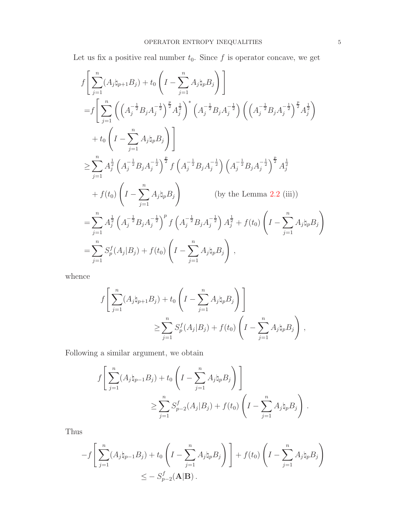Let us fix a positive real number  $t_0$ . Since  $f$  is operator concave, we get

$$
f\left[\sum_{j=1}^{n}(A_{j}\natural_{p+1}B_{j})+t_{0}\left(I-\sum_{j=1}^{n}A_{j}\natural_{p}B_{j}\right)\right]
$$
  
\n
$$
=f\left[\sum_{j=1}^{n}\left(\left(A_{j}^{-\frac{1}{2}}B_{j}A_{j}^{-\frac{1}{2}}\right)^{\frac{p}{2}}A_{j}^{\frac{1}{2}}\right)^{*}\left(A_{j}^{-\frac{1}{2}}B_{j}A_{j}^{-\frac{1}{2}}\right)\left(\left(A_{j}^{-\frac{1}{2}}B_{j}A_{j}^{-\frac{1}{2}}\right)^{\frac{p}{2}}A_{j}^{\frac{1}{2}}\right)
$$
  
\n
$$
+t_{0}\left(I-\sum_{j=1}^{n}A_{j}\natural_{p}B_{j}\right)\right]
$$
  
\n
$$
\geq \sum_{j=1}^{n}A_{j}^{\frac{1}{2}}\left(A_{j}^{-\frac{1}{2}}B_{j}A_{j}^{-\frac{1}{2}}\right)^{\frac{p}{2}}f\left(A_{j}^{-\frac{1}{2}}B_{j}A_{j}^{-\frac{1}{2}}\right)\left(A_{j}^{-\frac{1}{2}}B_{j}A_{j}^{-\frac{1}{2}}\right)^{\frac{p}{2}}A_{j}^{\frac{1}{2}}
$$
  
\n
$$
+f(t_{0})\left(I-\sum_{j=1}^{n}A_{j}\natural_{p}B_{j}\right) \qquad \text{(by the Lemma 2.2 (iii))}
$$
  
\n
$$
=\sum_{j=1}^{n}A_{j}^{\frac{1}{2}}\left(A_{j}^{-\frac{1}{2}}B_{j}A_{j}^{-\frac{1}{2}}\right)^{p}f\left(A_{j}^{-\frac{1}{2}}B_{j}A_{j}^{-\frac{1}{2}}\right)A_{j}^{\frac{1}{2}}+f(t_{0})\left(I-\sum_{j=1}^{n}A_{j}\natural_{p}B_{j}\right)
$$
  
\n
$$
=\sum_{j=1}^{n}S_{j}^{f}(A_{j}|B_{j})+f(t_{0})\left(I-\sum_{j=1}^{n}A_{j}\natural_{p}B_{j}\right),
$$

whence

$$
f\left[\sum_{j=1}^n (A_j \natural_{p+1} B_j) + t_0 \left(I - \sum_{j=1}^n A_j \natural_p B_j\right)\right]
$$
  
 
$$
\geq \sum_{j=1}^n S_p^f(A_j | B_j) + f(t_0) \left(I - \sum_{j=1}^n A_j \natural_p B_j\right),
$$

Following a similar argument, we obtain

$$
f\left[\sum_{j=1}^{n}(A_{j}\natural_{p-1}B_{j})+t_{0}\left(I-\sum_{j=1}^{n}A_{j}\natural_{p}B_{j}\right)\right]
$$
  

$$
\geq \sum_{j=1}^{n}S_{p-2}^{f}(A_{j}|B_{j})+f(t_{0})\left(I-\sum_{j=1}^{n}A_{j}\natural_{p}B_{j}\right).
$$

Thus

$$
-f\left[\sum_{j=1}^n (A_j \natural_{p-1} B_j) + t_0 \left(I - \sum_{j=1}^n A_j \natural_p B_j\right)\right] + f(t_0) \left(I - \sum_{j=1}^n A_j \natural_p B_j\right)
$$
  

$$
\leq -S_{p-2}^f(\mathbf{A}|\mathbf{B}).
$$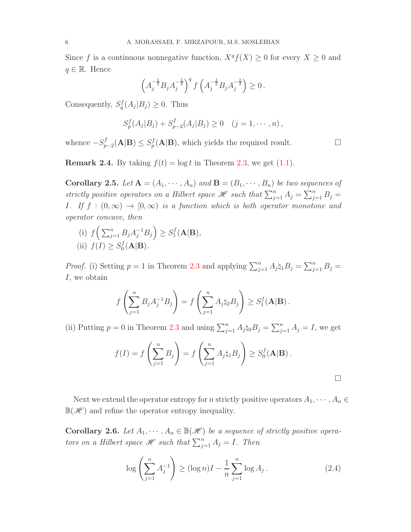Since f is a continuous nonnegative function,  $X^q f(X) \geq 0$  for every  $X \geq 0$  and  $q \in \mathbb{R}$ . Hence

$$
\left(A_j^{-\frac{1}{2}}B_jA_j^{-\frac{1}{2}}\right)^q f\left(A_j^{-\frac{1}{2}}B_jA_j^{-\frac{1}{2}}\right) \geq 0.
$$

Consequently,  $S_q^f(A_j|B_j) \geq 0$ . Thus

$$
S_p^f(A_j|B_j) + S_{p-2}^f(A_j|B_j) \ge 0 \quad (j = 1, \dots, n),
$$

whence  $-S_{p-2}^f(A|B) \leq S_p^f(A|B)$ , which yields the required result. □

**Remark 2.4.** By taking  $f(t) = \log t$  in Theorem [2.3,](#page-3-1) we get [\(1.1\)](#page-1-0).

<span id="page-5-0"></span>**Corollary 2.5.** Let  $A = (A_1, \dots, A_n)$  and  $B = (B_1, \dots, B_n)$  be two sequences of strictly positive operators on a Hilbert space  $\mathscr{H}$  such that  $\sum_{j=1}^{n} A_j = \sum_{j=1}^{n} B_j =$ *I.* If  $f : (0, \infty) \to [0, \infty)$  *is a function which is both operator monotone and operator concave, then*

(i)  $f\left(\sum_{j=1}^n B_j A_j^{-1} B_j\right) \geq S_1^f$  $J_1^J(A|B),$ (ii)  $f(I) \geq S_0^f$  $\int_0^f (A|B)$ .

*Proof.* (i) Setting  $p = 1$  in Theorem [2.3](#page-3-1) and applying  $\sum_{j=1}^{n} A_j \natural_1 B_j = \sum_{j=1}^{n} B_j =$ I, we obtain

$$
f\left(\sum_{j=1}^n B_j A_j^{-1} B_j\right) = f\left(\sum_{j=1}^n A_j \natural_2 B_j\right) \geq S_1^f(\mathbf{A}|\mathbf{B}).
$$

(ii) Putting  $p = 0$  in Theorem [2.3](#page-3-1) and using  $\sum_{j=1}^{n} A_j \natural_0 B_j = \sum_{j=1}^{n} A_j = I$ , we get

$$
f(I) = f\left(\sum_{j=1}^n B_j\right) = f\left(\sum_{j=1}^n A_j \natural_1 B_j\right) \ge S_0^f(\mathbf{A}|\mathbf{B}).
$$

Next we extend the operator entropy for n strictly positive operators  $A_1, \dots, A_n \in$  $\mathbb{B}(\mathscr{H})$  and refine the operator entropy inequality.

**Corollary 2.6.** *Let*  $A_1, \dots, A_n \in \mathbb{B}(\mathcal{H})$  *be a sequence of strictly positive operators on a Hilbert space*  $\mathscr H$  *such that*  $\sum_{j=1}^n A_j = I$ *. Then* 

<span id="page-5-1"></span>
$$
\log\left(\sum_{j=1}^{n} A_j^{-1}\right) \ge (\log n)I - \frac{1}{n}\sum_{j=1}^{n} \log A_j.
$$
 (2.4)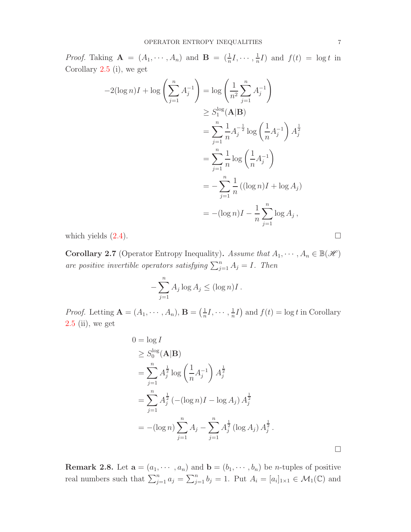*Proof.* Taking  $\mathbf{A} = (A_1, \dots, A_n)$  and  $\mathbf{B} = (\frac{1}{n}I, \dots, \frac{1}{n})$  $\frac{1}{n}I$ ) and  $f(t) = \log t$  in Corollary [2.5](#page-5-0) (i), we get

$$
-2(\log n)I + \log \left(\sum_{j=1}^{n} A_j^{-1}\right) = \log \left(\frac{1}{n^2} \sum_{j=1}^{n} A_j^{-1}\right)
$$
  
\n
$$
\geq S_1^{\log}(\mathbf{A}|\mathbf{B})
$$
  
\n
$$
= \sum_{j=1}^{n} \frac{1}{n} A_j^{-\frac{1}{2}} \log \left(\frac{1}{n} A_j^{-1}\right) A_j^{\frac{1}{2}}
$$
  
\n
$$
= \sum_{j=1}^{n} \frac{1}{n} \log \left(\frac{1}{n} A_j^{-1}\right)
$$
  
\n
$$
= -\sum_{j=1}^{n} \frac{1}{n} ((\log n)I + \log A_j)
$$
  
\n
$$
= -(\log n)I - \frac{1}{n} \sum_{j=1}^{n} \log A_j,
$$

which yields  $(2.4)$ .

**Corollary 2.7** (Operator Entropy Inequality). Assume that  $A_1, \dots, A_n \in \mathbb{B}(\mathcal{H})$ are positive invertible operators satisfying  $\sum_{j=1}^{n} A_j = I$ . Then

$$
-\sum_{j=1}^n A_j \log A_j \le (\log n)I.
$$

*Proof.* Letting  $\mathbf{A} = (A_1, \dots, A_n), \mathbf{B} = \left(\frac{1}{n}\right)$  $\frac{1}{n}I, \cdots, \frac{1}{n}$  $\frac{1}{n}I$  and  $f(t) = \log t$  in Corollary [2.5](#page-5-0) (ii), we get

$$
0 = \log I
$$
  
\n
$$
\geq S_0^{\log}(\mathbf{A}|\mathbf{B})
$$
  
\n
$$
= \sum_{j=1}^n A_j^{\frac{1}{2}} \log \left(\frac{1}{n} A_j^{-1}\right) A_j^{\frac{1}{2}}
$$
  
\n
$$
= \sum_{j=1}^n A_j^{\frac{1}{2}} \left(-( \log n)I - \log A_j \right) A_j^{\frac{1}{2}}
$$
  
\n
$$
= - (\log n) \sum_{j=1}^n A_j - \sum_{j=1}^n A_j^{\frac{1}{2}} (\log A_j) A_j^{\frac{1}{2}}.
$$

**Remark 2.8.** Let  $\mathbf{a} = (a_1, \dots, a_n)$  and  $\mathbf{b} = (b_1, \dots, b_n)$  be *n*-tuples of positive real numbers such that  $\sum_{j=1}^n a_j = \sum_{j=1}^n b_j = 1$ . Put  $A_i = [a_i]_{1 \times 1} \in \mathcal{M}_1(\mathbb{C})$  and

 $\Box$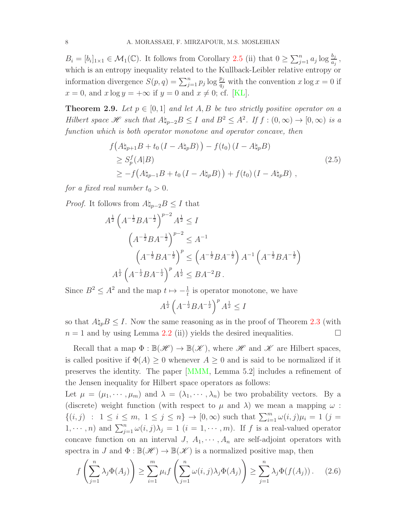$B_i = [b_i]_{1 \times 1} \in \mathcal{M}_1(\mathbb{C})$ . It follows from Corollary [2.5](#page-5-0) (ii) that  $0 \ge \sum_{j=1}^n a_j \log \frac{b_j}{a_j}$ , which is an entropy inequality related to the Kullback-Leibler relative entropy or information divergence  $S(p, q) = \sum_{j=1}^{n} p_j \log \frac{p_j}{q_j}$  with the convention  $x \log x = 0$  if  $x = 0$ , and  $x \log y = +\infty$  if  $y = 0$  and  $x \neq 0$ ; cf. [\[KL\]](#page-10-7).

**Theorem 2.9.** Let  $p \in [0,1]$  and let A, B be two strictly positive operator on a *Hilbert space*  $\mathscr{H}$  *such that*  $A\natural_{p-2}B \leq I$  *and*  $B^2 \leq A^2$ *. If*  $f : (0, \infty) \to [0, \infty)$  *is a function which is both operator monotone and operator concave, then*

$$
f(A\natural_{p+1}B + t_0(I - A\natural_p B)) - f(t_0)(I - A\natural_p B)
$$
  
\n
$$
\geq S_p^f(A|B)
$$
  
\n
$$
\geq -f(A\natural_{p-1}B + t_0(I - A\natural_p B)) + f(t_0)(I - A\natural_p B),
$$
\n(2.5)

*for a fixed real number*  $t_0 > 0$ *.* 

*Proof.* It follows from  $A\natural_{p-2}B \leq I$  that

$$
A^{\frac{1}{2}} \left(A^{-\frac{1}{2}}BA^{-\frac{1}{2}}\right)^{p-2} A^{\frac{1}{2}} \le I
$$
  

$$
\left(A^{-\frac{1}{2}}BA^{-\frac{1}{2}}\right)^{p-2} \le A^{-1}
$$
  

$$
\left(A^{-\frac{1}{2}}BA^{-\frac{1}{2}}\right)^p \le \left(A^{-\frac{1}{2}}BA^{-\frac{1}{2}}\right)A^{-1}\left(A^{-\frac{1}{2}}BA^{-\frac{1}{2}}\right)
$$
  

$$
A^{\frac{1}{2}} \left(A^{-\frac{1}{2}}BA^{-\frac{1}{2}}\right)^p A^{\frac{1}{2}} \le BA^{-2}B.
$$

Since  $B^2 \leq A^2$  and the map  $t \mapsto -\frac{1}{t}$  is operator monotone, we have

 $A^{\frac{1}{2}}\left(A^{-\frac{1}{2}}BA^{-\frac{1}{2}}\right)^p A^{\frac{1}{2}} \leq I$ 

so that  $A\natural_p B \leq I$ . Now the same reasoning as in the proof of Theorem [2.3](#page-3-1) (with  $n = 1$  and by using Lemma [2.2](#page-3-0) (ii)) yields the desired inequalities.

Recall that a map  $\Phi : \mathbb{B}(\mathscr{H}) \to \mathbb{B}(\mathscr{K})$ , where  $\mathscr{H}$  and  $\mathscr{K}$  are Hilbert spaces, is called positive if  $\Phi(A) \geq 0$  whenever  $A \geq 0$  and is said to be normalized if it preserves the identity. The paper [\[MMM,](#page-10-8) Lemma 5.2] includes a refinement of the Jensen inequality for Hilbert space operators as follows:

Let  $\mu = (\mu_1, \dots, \mu_m)$  and  $\lambda = (\lambda_1, \dots, \lambda_n)$  be two probability vectors. By a (discrete) weight function (with respect to  $\mu$  and  $\lambda$ ) we mean a mapping  $\omega$ :  $\{(i,j) : 1 \le i \le m, 1 \le j \le n\} \to [0,\infty)$  such that  $\sum_{i=1}^{m} \omega(i,j) \mu_i = 1$   $(j =$  $(1, \dots, n)$  and  $\sum_{j=1}^{n} \omega(i, j)\lambda_j = 1$   $(i = 1, \dots, m)$ . If f is a real-valued operator concave function on an interval  $J, A_1, \cdots, A_n$  are self-adjoint operators with spectra in J and  $\Phi : \mathbb{B}(\mathscr{H}) \to \mathbb{B}(\mathscr{K})$  is a normalized positive map, then

<span id="page-7-0"></span>
$$
f\left(\sum_{j=1}^{n} \lambda_j \Phi(A_j)\right) \ge \sum_{i=1}^{m} \mu_i f\left(\sum_{j=1}^{n} \omega(i,j) \lambda_j \Phi(A_j)\right) \ge \sum_{j=1}^{n} \lambda_j \Phi(f(A_j)). \tag{2.6}
$$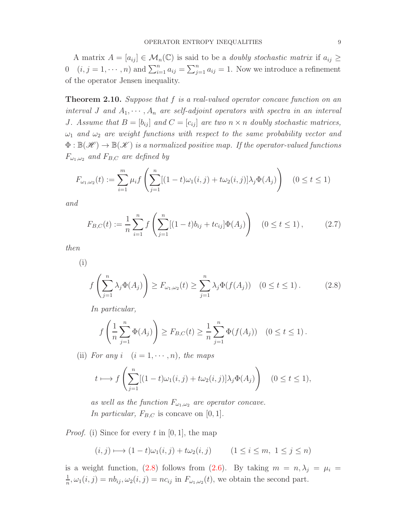A matrix  $A = [a_{ij}] \in \mathcal{M}_n(\mathbb{C})$  is said to be a *doubly stochastic matrix* if  $a_{ij} \geq$ 0  $(i, j = 1, \dots, n)$  and  $\sum_{i=1}^{n} a_{ij} = \sum_{j=1}^{n} a_{ij} = 1$ . Now we introduce a refinement of the operator Jensen inequality.

<span id="page-8-2"></span>Theorem 2.10. *Suppose that* f *is a real-valued operator concave function on an interval J* and  $A_1, \dots, A_n$  are self-adjoint operators with spectra in an interval *J.* Assume that  $B = [b_{ij}]$  and  $C = [c_{ij}]$  are two  $n \times n$  doubly stochastic matrices,  $\omega_1$  *and*  $\omega_2$  *are weight functions with respect to the same probability vector and*  $\Phi : \mathbb{B}(\mathcal{H}) \to \mathbb{B}(\mathcal{H})$  *is a normalized positive map. If the operator-valued functions*  $F_{\omega_1,\omega_2}$  *and*  $F_{B,C}$  *are defined by* 

$$
F_{\omega_1,\omega_2}(t) := \sum_{i=1}^m \mu_i f\left(\sum_{j=1}^n [(1-t)\omega_1(i,j) + t\omega_2(i,j)]\lambda_j \Phi(A_j)\right) \quad (0 \le t \le 1)
$$

*and*

<span id="page-8-1"></span>
$$
F_{B,C}(t) := \frac{1}{n} \sum_{i=1}^{n} f\left(\sum_{j=1}^{n} [(1-t)b_{ij} + tc_{ij}] \Phi(A_j)\right) \quad (0 \le t \le 1), \tag{2.7}
$$

*then*

(i)

<span id="page-8-0"></span>
$$
f\left(\sum_{j=1}^{n} \lambda_j \Phi(A_j)\right) \ge F_{\omega_1, \omega_2}(t) \ge \sum_{j=1}^{n} \lambda_j \Phi(f(A_j)) \quad (0 \le t \le 1).
$$
 (2.8)

*In particular,*

$$
f\left(\frac{1}{n}\sum_{j=1}^n \Phi(A_j)\right) \ge F_{B,C}(t) \ge \frac{1}{n}\sum_{j=1}^n \Phi(f(A_j)) \quad (0 \le t \le 1).
$$

(ii) *For any*  $i \quad (i = 1, \dots, n)$ *, the maps* 

$$
t \longmapsto f\left(\sum_{j=1}^n [(1-t)\omega_1(i,j) + t\omega_2(i,j)]\lambda_j \Phi(A_j)\right) \quad (0 \le t \le 1),
$$

*as well as the function*  $F_{\omega_1,\omega_2}$  *are operator concave. In particular,*  $F_{B,C}$  is concave on [0, 1].

*Proof.* (i) Since for every t in  $[0, 1]$ , the map

$$
(i,j) \longmapsto (1-t)\omega_1(i,j) + t\omega_2(i,j) \qquad (1 \le i \le m, \ 1 \le j \le n)
$$

is a weight function, [\(2.8\)](#page-8-0) follows from [\(2.6\)](#page-7-0). By taking  $m = n, \lambda_j = \mu_i =$ 1  $\frac{1}{n}, \omega_1(i,j) = nb_{ij}, \omega_2(i,j) = nc_{ij}$  in  $F_{\omega_1,\omega_2}(t)$ , we obtain the second part.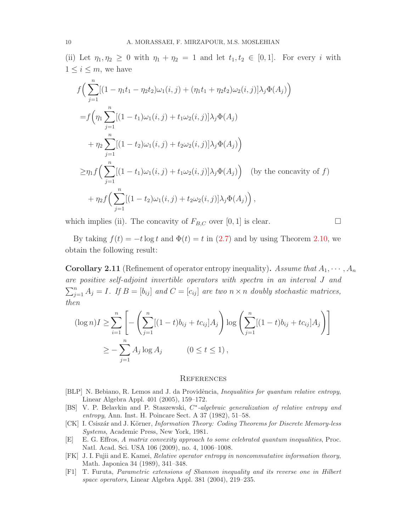(ii) Let  $\eta_1, \eta_2 \geq 0$  with  $\eta_1 + \eta_2 = 1$  and let  $t_1, t_2 \in [0, 1]$ . For every i with  $1 \leq i \leq m$ , we have

$$
f\Big(\sum_{j=1}^{n}[(1-\eta_1t_1-\eta_2t_2)\omega_1(i,j)+(\eta_1t_1+\eta_2t_2)\omega_2(i,j)]\lambda_j\Phi(A_j)\Big)
$$
  
= $f\Big(\eta_1\sum_{j=1}^{n}[(1-t_1)\omega_1(i,j)+t_1\omega_2(i,j)]\lambda_j\Phi(A_j)$   
+ $\eta_2\sum_{j=1}^{n}[(1-t_2)\omega_1(i,j)+t_2\omega_2(i,j)]\lambda_j\Phi(A_j)\Big)$   

$$
\geq \eta_1 f\Big(\sum_{j=1}^{n}[(1-t_1)\omega_1(i,j)+t_1\omega_2(i,j)]\lambda_j\Phi(A_j)\Big) \text{ (by the concavity of } f)
$$
  
+ $\eta_2 f\Big(\sum_{j=1}^{n}[(1-t_2)\omega_1(i,j)+t_2\omega_2(i,j)]\lambda_j\Phi(A_j)\Big),$ 

which implies (ii). The concavity of  $F_{B,C}$  over [0, 1] is clear.

$$
\qquad \qquad \Box
$$

By taking  $f(t) = -t \log t$  and  $\Phi(t) = t$  in [\(2.7\)](#page-8-1) and by using Theorem [2.10,](#page-8-2) we obtain the following result:

**Corollary 2.11** (Refinement of operator entropy inequality). Assume that  $A_1, \dots, A_n$ *are positive self-adjoint invertible operators with spectra in an interval* J *and*  $\sum_{j=1}^{n} A_j = I$ *. If*  $B = [b_{ij}]$  and  $C = [c_{ij}]$  are two  $n \times n$  doubly stochastic matrices, *then*

$$
(\log n)I \ge \sum_{i=1}^{n} \left[ -\left( \sum_{j=1}^{n} [(1-t)b_{ij} + tc_{ij}]A_j \right) \log \left( \sum_{j=1}^{n} [(1-t)b_{ij} + tc_{ij}]A_j \right) \right]
$$
  

$$
\ge -\sum_{j=1}^{n} A_j \log A_j \qquad (0 \le t \le 1),
$$

## **REFERENCES**

- <span id="page-9-0"></span>[BLP] N. Bebiano, R. Lemos and J. da Providência, *Inequalities for quantum relative entropy*, Linear Algebra Appl. 401 (2005), 159–172.
- <span id="page-9-1"></span>[BS] V. P. Belavkin and P. Staszewski,  $C^*$ -algebraic generalization of relative entropy and entropy, Ann. Inst. H. Poincare Sect. A 37 (1982), 51–58.
- <span id="page-9-4"></span>[CK] I. Csiszár and J. Körner, *Information Theory: Coding Theorems for Discrete Memory-less* Systems, Academic Press, New York, 1981.
- <span id="page-9-3"></span>[E] E. G. Effros, A matrix convexity approach to some celebrated quantum inequalities, Proc. Natl. Acad. Sci. USA 106 (2009), no. 4, 1006–1008.
- <span id="page-9-2"></span>[FK] J. I. Fujii and E. Kamei, Relative operator entropy in noncommutative information theory, Math. Japonica 34 (1989), 341–348.
- <span id="page-9-5"></span>[F1] T. Furuta, Parametric extensions of Shannon inequality and its reverse one in Hilbert space operators, Linear Algebra Appl. 381 (2004), 219–235.